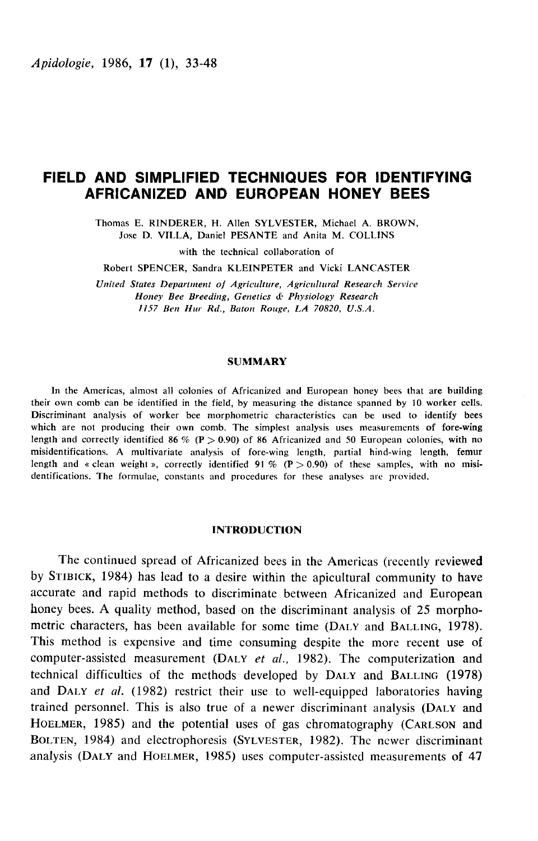# FIELD AND SIMPLIFIED TECHNIQUES FOR IDENTIFYING AFRICANIZED AND EUROPEAN HONEY BEES

Thomas E. RINDERER, H. Allen SYLVESTER, Michael A. BROWN, Jose D. VILLA, Daniel PESANTE and Anita M. COLLINS

with the technical collaboration of

Robert SPENCER, Sandra KLEINPETER and Vicki LANCASTER

United States Department of Agriculture, Agricultural Research Service Honey Bee Breeding, Genetics & Physiology Research 1157 Ben Hur Rd., Baton Rouge, LA 70820, U.S.A.

# **SUMMARY**

In the Americas, almost all colonies of Africanized and European honey bees that are building their own comb can be identified in the field, by measuring the distance spanned by 10 worker cells. Discriminant analysis of worker bee morphometric characteristics can be used to identify bees which are not producing their own comb. The simplest analysis uses measurements of fore-wing length and correctly identified 86 % (P > 0.90) of 86 Africanized and 50 European colonies, with no misidentifications. A multivariate analysis of fore-wing length, partial hind-wing length, femur length and « clean weight », correctly identified 91 %  $(P > 0.90)$  of these samples, with no misidentifications. The formulae, constants and procedures for these analyses arc provided.

## INTRODUCTION

The continued spread of Africanized bees in the Americas (recently reviewed by STIBICK, 1984) has lead to a desire within the apicultural community to have accurate and rapid methods to discriminate between Africanized and European honey bees. A quality method, based on the discriminant analysis of 25 morphometric characters, has been available for some time (DALY and BALLING, 1978). This method is expensive and time consuming despite the more recent use of computer-assisted measurement (DALY *et al.*, 1982). The computerization and technical difficulties of the methods developed by DALY and BALLING (1 This method is expensive and time consuming despite the more recent use of<br>computer-assisted measurement (DALY *et al.*, 1982). The computerization and<br>technical difficulties of the methods developed by DALY and BALLING (1 and DALT et al. (1982) restrict their use to wen-equipped laboratories having<br>trained personnel. This is also true of a newer discriminant analysis (DALY and Computer-assisted measurement (DALY *et al.*, 1982). The computerization and<br>technical difficulties of the methods developed by DALY and BALLING (1978)<br>and DALY *et al.* (1982) restrict their use to well-equipped laborator and DALY *et al.* (1982) restrict their use to well-equipped laboratories having<br>trained personnel. This is also true of a newer discriminant analysis (DALY and<br>HOELMER, 1985) and the potential uses of gas chromatography ( BOLTEN, 1984) and electrophoresis (SYLVESTER, 1982). The newer discriminant analysis (DALY and HOELMER, 1985) uses computer-assisted measurements of 47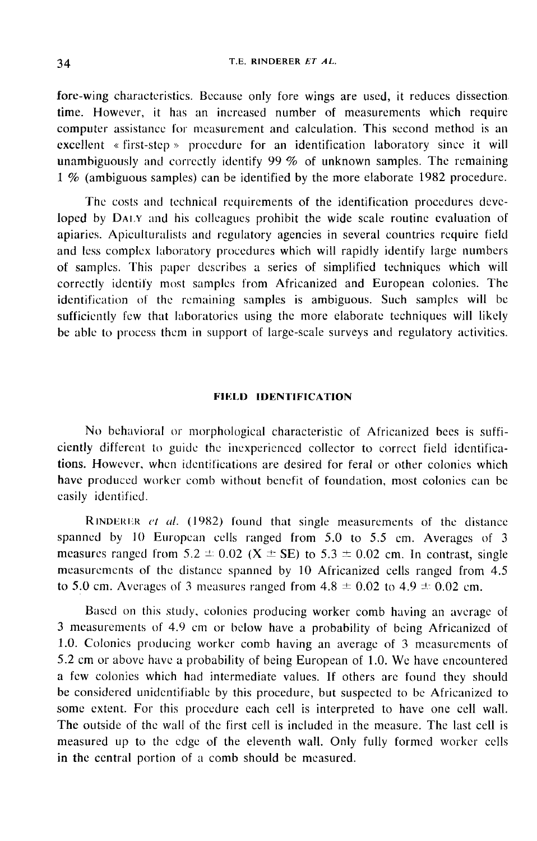# T.E. RINDERER ET AL.

fore-wing characteristics. Because only fore wings are used, it reduces dissection time. However, it has an increased number of measurements which require computer assistance for measurement and calculation. This second method is an excellent « first-step » procedure for an identification laboratory since it will unambiguously and correctly identify 99 % of unknown samples. The remaining 1 % (ambiguous samples) can be identified by the more elaborate 1982 procedure.

The costs and technical requirements of the identification procedures developed by DALY and his colleagues prohibit the wide scale routine evaluation of apiaries. Apiculturalists and regulatory agencies in several countries require field and less complex laboratory procedures which will rapidly identify large numbers of samples. This paper describes a series of simplified techniques which will correctly identify most samples from Africanized and European colonies. The identification of the remaining samples is ambiguous. Such samples will be sufficiently few that laboratories using the more elaborate techniques will likely be able to process them in support of large-scale surveys and regulatory activities.

# FIELD IDENTIFICATION

No behavioral or morphological characteristic of Africanized bees is sufficiently different to guide the inexperienced collector to correct field identifications. However, when identifications are desired for feral or other colonies which have produced worker comb without benefit of foundation, most colonies can be easily identified.

RINDERER  $et$  al. (1982) found that single measurements of the distance spanned by 10 Europcan cells ranged from 5.0 to 5.5 cm. Averages of 3 **EXECUTE:** For al. (1982) found that single measurements of the distance spanned by 10 European cells ranged from 5.0 to 5.5 cm. Averages of 3 measures ranged from 5.2  $\pm$  0.02 (X  $\pm$  SE) to 5.3  $\pm$  0.02 cm. In contras to 5.0 cm. Averages of 3 measures ranged from  $4.8 \pm 0.02$  to  $4.9 \pm 0.02$  cm.

Based on this study, colonies producing worker comb having an average of 3 measurements of 4.9 cm or below have a probability of being Africanized of 1.0. Colonies producing worker comb having an average of 3 measurements of 5.2 cm or above have a probability of being European of 1.0. We have encountered a few colonies which had intermediate values. If others are found they should be considered unidcntifiable by this procedure, but suspected to be Africanized to some extent. For this procedure each cell is interpreted to have one cell wall. The outside of the wall of the first cell is included in the measure. The last cell is measured up to the edge of the eleventh wall. Only fully formed worker cells in the central portion of a comb should be measured.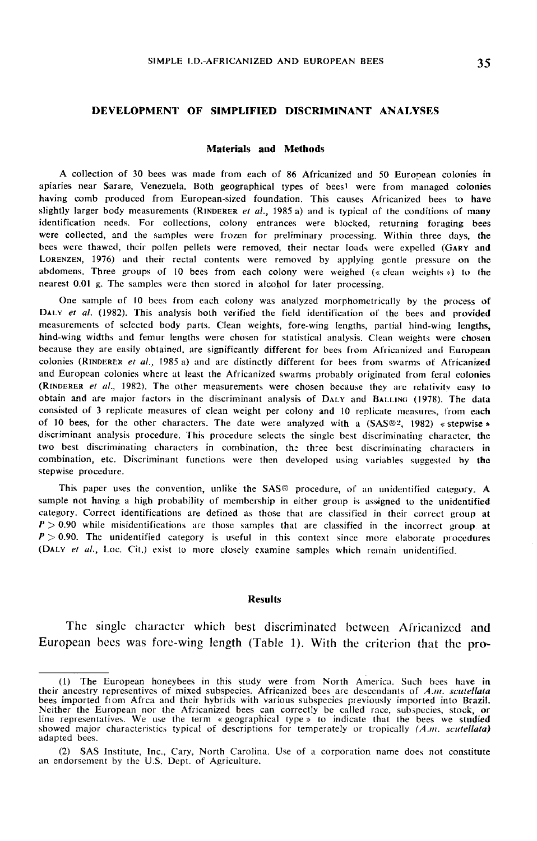# DEVELOPMENT OF SIMPLIFIED DISCRIMINANT ANALYSES

#### Materials and Methods

A collection of 30 bees was made from each of 86 Africanized and 50 European colonies in apiaries near Sarare, Venezuela. Both geographical types of beesl were from managed colonies apiaries hear sarate, venezuera. Both geographical types of bees were from managed colonies<br>having comb produced from European-sized foundation. This causes Africanized bees to have<br>slightly larger body measurements (RIND identification needs. For collections, colony entrances were blocked, returning foraging bees were collected, and the samples were frozen for preliminary processing. Within three days, the bees were thawed, their pollen pellets were removed, their nectar loads were expelled (GARY and LORENZEN, 1976) and their rectal contents were removed by applying gentle pressure on the slightly larger body measurements (RINDERER *et al.*, 1985 a) and is typical of the conditions of many<br>identification needs. For collections, colony entrances were blocked, returning foraging bees<br>were collected, and the s abdomens. Three groups of 10 bees from each colony were weighed (« clean weights») to the nearest 0.01 g. The samples were then stored in alcohol for later processing.

One sample of 10 bees from each colony was analyzed morphometrically by the process of DALY et al. (1982). This analysis both verified the field identification of the bees and provided measurements of selected body parts. Clean weights, fore-wing lengths, partial hind-wing lengths, hind-wing widths and femur lengths were chosen for statistical analysis. Clean weights were chosen because they are easily obtained, are significantly different for bees from Africanized and European DALY *et al.* (1982). This analysis both verified the field identification of the bees and provided measurements of selected body parts. Clean weights, fore-wing lengths, partial hind-wing lengths, hind-wing widths and fem and European colonies where at least the Africanized swarms probably originated from feral colonies (RINDERER et al., 1982). The other measurements were chosen because they are relativity easy to and European colonies where at least the Africanized swarms probably originated from feral colonies (RINDERER *et al.*, 1982). The other measurements were chosen because they are relativity easy to obtain and are major fa consisted of 3 replicate measures of clean weight per colony and 10 replicate measures, from each of 10 bees, for the other characters. The date were analyzed with a  $(SAS@2, 1982)$  «stepwise » (RINDERER *et al.*, 1982). The other measurements were chosen because they are relativity easy to obtain and are major factors in the discriminant analysis of DALY and BALLING (1978). The data consisted of 3 replicate mea two best discriminating characters in combination, the three best discriminating characters in combination, etc. Discriminant functions were then developed using variables suggested by the stepwise procedure.

This paper uses the convention, unlike the SAS@ procedure, of an unidentified category. A sample not having a high probability of membership in either group is assigned to the unidentified category. Correct identifications are defined as those that are classified in their correct group at  $P > 0.90$  while misidentifications are those samples that are classified in the incorrect group at  $P > 0.90$ . The unidentified category is useful in this context since more elaborate procedures (DALY et al., Loc. Cit.) exist to more closely examine samples which remain unidentified.

#### Results

The single character which best discriminated between Africanized and European bees was fore-wing length (Table 1). With the criterion that the pro-

<sup>(1)</sup> The European honeybees in this study were from North America. Such bees have in their ancestry representives of mixed subspecies. Africanized bees are descendants of  $A.m.$  scutellata bees imported fiom Afrca and their hybrids with various subspecies previously imported into Brazil. Neither the European nor the Africanized bees can correctly be called race, subspecies, stock, or line representatives. We use the term «geographical type » to indicate that the bees we studied<br>showed major characteristics typical of descriptions for temperately or tropically (A.m. scutellata) adapted bees.

<sup>(2)</sup> SAS Institute, Inc., Cary, North Carolina. Use of a corporation name does not constitute an endorsement by the U.S. Dept. of Agriculture.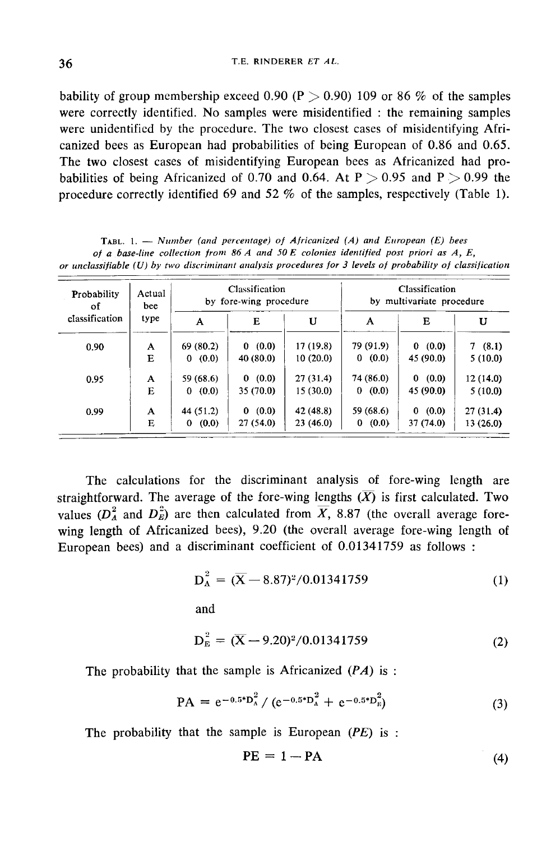bability of group membership exceed 0.90 (P  $>$  0.90) 109 or 86 % of the samples were correctly identified. No samples were misidentified : the remaining samples were unidentified by the procedure. The two closest cases of misidentifying Africanized bees as European had probabilities of being European of 0.86 and 0.65. The two closest cases of misidentifying European bees as Africanized had probabilities of being Africanized of 0.70 and 0.64. At  $P > 0.95$  and  $P > 0.99$  the procedure correctly identified 69 and 52 % of the samples, respectively (Table 1).

| Probability<br>οf<br>classification | Actual<br>bee<br>type | Classification<br>by fore-wing procedure |            |           | Classification<br>by multivariate procedure |            |           |
|-------------------------------------|-----------------------|------------------------------------------|------------|-----------|---------------------------------------------|------------|-----------|
|                                     |                       | A                                        | E          | U         | A                                           | Е          | U         |
| 0.90                                | A                     | 69 (80.2)                                | 0(0.0)     | 17 (19.8) | 79 (91.9)                                   | 0(0.0)     | 7(8.1)    |
|                                     | E                     | (0.0)<br>0                               | 40 (80.0)  | 10(20.0)  | 0(0.0)                                      | 45 (90.0)  | 5(10.0)   |
| 0.95                                | A                     | 59 (68.6)                                | (0.0)<br>0 | 27(31.4)  | 74 (86.0)                                   | (0.0)<br>0 | 12 (14.0) |
|                                     | E                     | 0(0.0)                                   | 35 (70.0)  | 15(30.0)  | 0(0.0)                                      | 45 (90.0)  | 5(10.0)   |
| 0.99                                | A                     | 44 (51.2)                                | (0.0)<br>0 | 42 (48.8) | 59 (68.6)                                   | (0.0)<br>0 | 27(31.4)  |
|                                     | E                     | (0.0)<br>0                               | 27(54.0)   | 23(46.0)  | 0(0.0)                                      | 37 (74.0)  | 13 (26.0) |

TABL. 1. - Number (and percentage) of Africanized (A) and European (E) bees of a base-line collection from 86 A and 50 E colonies identified post priori as  $A, E$ , or unclassifiable  $(U)$  by two discriminant analysis procedures for 3 levels of probability of classification

The calculations for the discriminant analysis of fore-wing length are straightforward. The average of the fore-wing lengths  $(\overline{X})$  is first calculated. Two values ( $D_A^2$  and  $D_E^2$ ) are then calculated from  $\overline{X}$ , 8.87 (the overall average forewing length of Africanized bees), 9.20 (the overall average fore-wing length of European bees) and a discriminant coefficient of 0.01341759 as follows :

$$
D_A^2 = (\overline{X} - 8.87)^2 / 0.01341759
$$
 (1)  
and

$$
D_E^2 = (\overline{X} - 9.20)^2 / 0.01341759 \tag{2}
$$

The probability that the sample is Africanized  $(PA)$  is :

$$
PA = e^{-0.5 D_A^2} / (e^{-0.5 D_A^2} + e^{-0.5 D_B^2})
$$
 (3)

The probability that the sample is European  $(PE)$  is :

$$
PE = 1 - PA \tag{4}
$$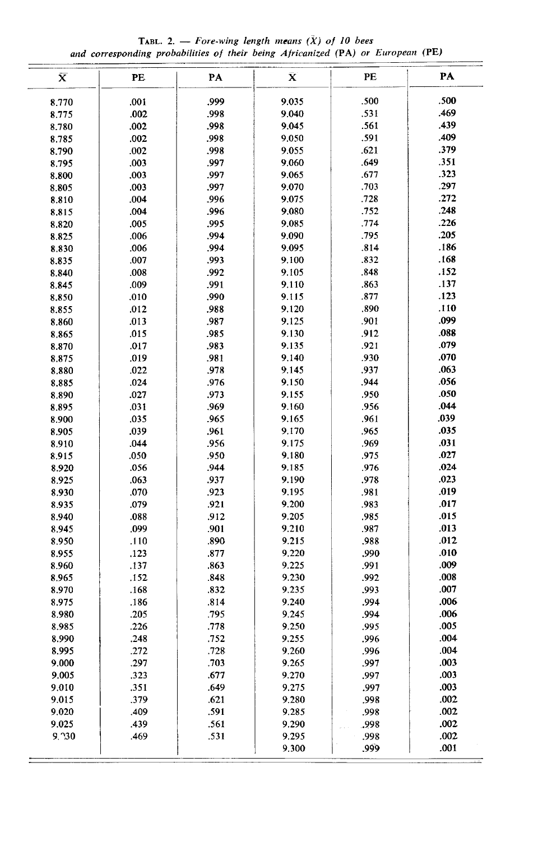TABL. 2. - Fore-wing length means  $(X)$  of 10 bees and corresponding probabilities of their being Africanized (PA) or European (PE)

| $\bar{\textbf{x}}$ | PE   | PA   | $\bar{\mathbf{X}}$ | PE   | PA   |  |  |  |
|--------------------|------|------|--------------------|------|------|--|--|--|
| 8.770              | .001 | ,999 | 9.035              | .500 | .500 |  |  |  |
| 8.775              | .002 | .998 | 9.040              | .531 | .469 |  |  |  |
| 8.780              | .002 | .998 | 9.045              | .561 | .439 |  |  |  |
| 8.785              | .002 | .998 | 9.050              | .591 | .409 |  |  |  |
| 8.790              | .002 | .998 | 9.055              | .621 | .379 |  |  |  |
| 8.795              | .003 | .997 | 9.060              | .649 | .351 |  |  |  |
| 8.800              | .003 | .997 | 9.065              | .677 | .323 |  |  |  |
| 8.805              | .003 | .997 | 9.070              | .703 | .297 |  |  |  |
| 8.810              | .004 | .996 | 9.075              | .728 | .272 |  |  |  |
| 8.815              | .004 | .996 | 9.080              | .752 | .248 |  |  |  |
| 8.820              | .005 | .995 | 9.085              | .774 | .226 |  |  |  |
|                    | .006 | .994 | 9.090              | .795 | .205 |  |  |  |
| 8.825              | .006 | .994 | 9.095              | .814 | .186 |  |  |  |
| 8.830              | .007 | .993 | 9.100              | .832 | .168 |  |  |  |
| 8.835              | .008 | .992 |                    | .848 | .152 |  |  |  |
| 8.840              |      |      | 9.105              |      | .137 |  |  |  |
| 8.845              | .009 | .991 | 9.110              | .863 | .123 |  |  |  |
| 8.850              | .010 | .990 | 9.115              | .877 |      |  |  |  |
| 8.855              | .012 | .988 | 9.120              | .890 | .110 |  |  |  |
| 8.860              | .013 | .987 | 9.125              | .901 | .099 |  |  |  |
| 8.865              | .015 | .985 | 9.130              | .912 | .088 |  |  |  |
| 8.870              | .017 | .983 | 9.135              | .921 | .079 |  |  |  |
| 8.875              | .019 | .981 | 9.140              | .930 | .070 |  |  |  |
| 8.880              | .022 | .978 | 9.145              | .937 | .063 |  |  |  |
| 8.885              | .024 | .976 | 9.150              | .944 | .056 |  |  |  |
| 8.890              | .027 | .973 | 9.155              | .950 | .050 |  |  |  |
| 8.895              | .031 | .969 | 9.160              | .956 | .044 |  |  |  |
| 8.900              | .035 | .965 | 9.165              | .961 | .039 |  |  |  |
| 8.905              | .039 | .961 | 9.170              | .965 | .035 |  |  |  |
| 8.910              | .044 | .956 | 9.175              | .969 | .031 |  |  |  |
| 8.915              | .050 | .950 | 9.180              | .975 | .027 |  |  |  |
| 8.920              | .056 | .944 | 9.185              | .976 | .024 |  |  |  |
| 8.925              | .063 | .937 | 9.190              | .978 | .023 |  |  |  |
| 8.930              | .070 | .923 | 9.195              | .981 | .019 |  |  |  |
| 8.935              | .079 | .921 | 9.200              | .983 | .017 |  |  |  |
| 8.940              | .088 | .912 | 9.205              | .985 | .015 |  |  |  |
| 8.945              | .099 | .901 | 9.210              | .987 | .013 |  |  |  |
| 8.950              | .110 | .890 | 9.215              | .988 | .012 |  |  |  |
| 8.955              | .123 | .877 | 9.220              | .990 | .010 |  |  |  |
| 8.960              | .137 | .863 | 9.225              | .991 | .009 |  |  |  |
| 8.965              | .152 | .848 | 9.230              | .992 | .008 |  |  |  |
| 8.970              | .168 | .832 | 9.235              | .993 | .007 |  |  |  |
| 8.975              | .186 | .814 | 9.240              | .994 | .006 |  |  |  |
| 8.980              | .205 | .795 | 9.245              | .994 | .006 |  |  |  |
| 8.985              | 226  | .778 | 9.250              | .995 | 005  |  |  |  |
| 8.990              | .248 | .752 | 9,255              | .996 | .004 |  |  |  |
| 8.995              | .272 | .728 | 9.260              | .996 | .004 |  |  |  |
| 9.000              | .297 | .703 | 9.265              | .997 | .003 |  |  |  |
| 9.005              | .323 | .677 | 9.270              | .997 | .003 |  |  |  |
| 9.010              | .351 | .649 | 9.275              | .997 | .003 |  |  |  |
| 9.015              | .379 | .621 | 9.280              | .998 | .002 |  |  |  |
| 9.020              | .409 | .591 | 9.285              | .998 | .002 |  |  |  |
| 9.025              | .439 | .561 | 9.290              | .998 | .002 |  |  |  |
| 9,230              | .469 | .531 | 9.295              | .998 | .002 |  |  |  |
|                    |      |      | 9.300              | ,999 | .001 |  |  |  |
|                    |      |      |                    |      |      |  |  |  |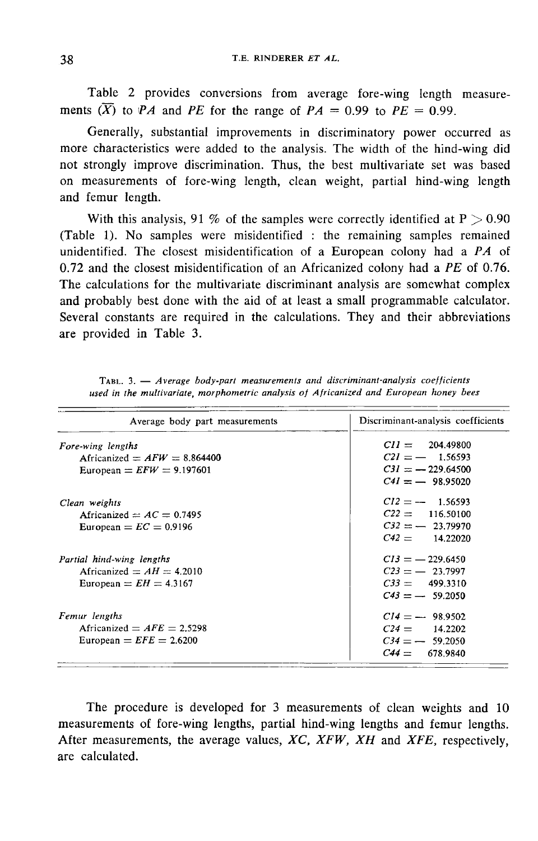Table 2 provides conversions from average fore-wing length measurements  $(X)$  to PA and PE for the range of PA = 0.99 to PE = 0.99.

Generally, substantial improvements in discriminatory power occurred as more characteristics were added to the analysis. The width of the hind-wing did not strongly improve discrimination. Thus, the best multivariate set was based on measurements of fore-wing length, clean weight, partial hind-wing length and femur length.

With this analysis, 91 % of the samples were correctly identified at  $P > 0.90$ (Table 1). No samples were misidentified : the remaining samples remained unidentified. The closest misidentification of a European colony had a  $PA$  of 0.72 and the closest misidentification of an Africanized colony had a  $PE$  of 0.76. The calculations for the multivariate discriminant analysis are somewhat complex and probably best done with the aid of at least a small programmable calculator. Several constants are required in the calculations. They and their abbreviations are provided in Table 3.

| Average body part measurements | Discriminant-analysis coefficients |
|--------------------------------|------------------------------------|
| Fore-wing lengths              | $CII = 204.49800$                  |
| Africanized $= AFW = 8.864400$ | $C21 = -1.56593$                   |
| European = $EFW = 9.197601$    | $C31 = -229.64500$                 |
|                                | $C41 = -98.95020$                  |
| Clean weights                  | $CI2 = -1.56593$                   |
| Africanized $= AC = 0.7495$    | $C22 = 116.50100$                  |
| European = $EC = 0.9196$       | $C32 = -23.79970$                  |
|                                | $C42 = 14.22020$                   |
| Partial hind-wing lengths      | $CI3 = -229.6450$                  |
| Africanized $= AH = 4.2010$    | $C23 = -23.7997$                   |
| European $= EH = 4.3167$       | $C33 = 499.3310$                   |
|                                | $C43 = -59.2050$                   |
| Femur lengths                  | $C14 = -98.9502$                   |
| Africanized $= AFE = 2.5298$   | $C24 = 14.2202$                    |
| European $EFE = 2.6200$        | $C34 = -59.2050$                   |
|                                | $C44 = 678.9840$                   |

TABL. 3. - Average body-part measurements and discriminant-analysis coefficients used in the multivariate, morphometric analysis of Africanized and European honey bees

The procedure is developed for 3 measurements of clean weights and 10 measurements of fore-wing lengths, partial hind-wing lengths and femur lengths. After measurements, the average values,  $XC$ ,  $XFW$ ,  $XH$  and  $XFE$ , respectively, are calculated.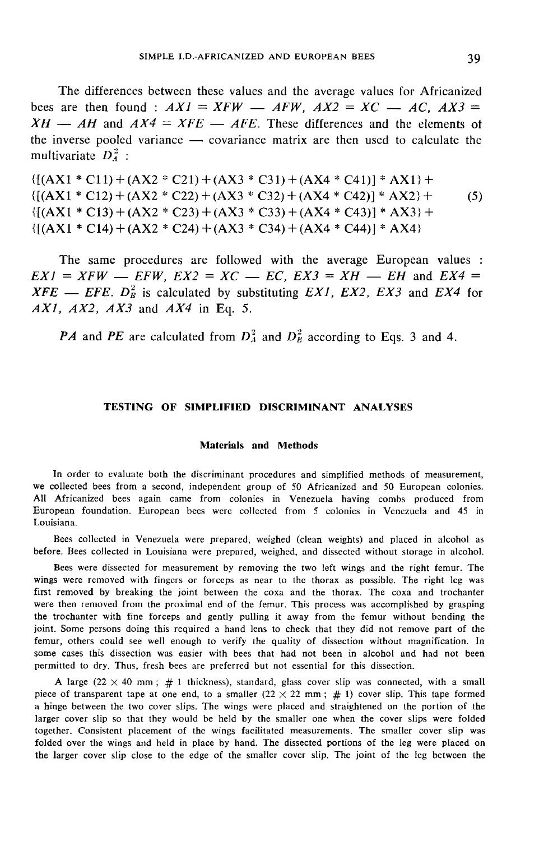The differences between these values and the average values for Africanized bees are then found :  $AXI = XFW - AFW$ ,  $AX2 = XC - AC$ ,  $AX3 =$  $XH - AH$  and  $AX4 = XFE - AFE$ . These differences and the elements of the inverse pooled variance  $\frac{1}{x}$  covariance matrix are then used to calculate the multivariate  $D_4^2$ :

 $\{(AX1 * C11) + (AX2 * C21) + (AX3 * C31) + (AX4 * C41)\}$  \* AX1 +  ${[(AX1 * C12) + (AX2 * C22) + (AX3 * C32) + (AX4 * C42)] * AX2}$  $(5)$  ${[(AX1 * C13) + (AX2 * C23) + (AX3 * C33) + (AX4 * C43)] * AX3} +$  $\{[(AX1 * C14) + (AX2 * C24) + (AX3 * C34) + (AX4 * C44)] * AX4\}$ 

The same procedures are followed with the average European values :  $EXI = XFW - EFW$ ,  $EX2 = XC - EC$ ,  $EX3 = XH - EH$  and  $EX4 =$  $XFE$  — EFE.  $D_E^2$  is calculated by substituting EX1, EX2, EX3 and EX4 for  $AX1$ ,  $AX2$ ,  $AX3$  and  $AX4$  in Eq. 5.

PA and PE are calculated from  $D_A^2$  and  $D_B^2$  according to Eqs. 3 and 4.

# TESTING OF SINIPLIFIED DISCRIMINANT ANALYSES

### Materials and Methods

In order to evaluate both the discriminant procedures and simplified methods of measurement, we collected bees from a second, independent group of 50 Africanized and 50 European colonies. All Africanized bees again came from colonies in Venezuela having combs produced from European foundation. European bees were collected from 5 colonies in Venezuela and 45 in Louisiana.

Bees collected in Venezuela were prepared, weighed (clean weights) and placed in alcohol as before. Bees collected in Louisiana were prepared, weighed, and dissected without storage in alcohol.

Bees were dissected for measurement by removing the two left wings and the right femur. The wings were removed with fingers or forceps as near to the thorax as possible. The right leg was first removed by breaking the joint between the coxa and the thorax. The coxa and trochanter were then removed from the proximal end of the femur. This process was accomplished by grasping the trochanter with fine forceps and gently pulling it away from the femur without bending the joint. Some persons doing this required a hand lens to check that they did not remove part of the femur, others could see well enough to verify the quality of dissection without magnification. In some cases this dissection was easier with bees that had not been in alcohol and had not been permitted to dry. Thus, fresh bees are preferred but not essential for this dissection.

A large  $(22 \times 40 \text{ mm})$ ; # 1 thickness), standard, glass cover slip was connected, with a small piece of transparent tape at one end, to a smaller  $(22 \times 22 \text{ mm} ; #1)$  cover slip. This tape formed a hinge between the two cover slips. The wings were placed and straightened on the portion of the larger cover slip so that they would be held by the smaller one when the cover slips were folded together. Consistent placement of the wings facilitated measurements. The smaller cover slip was folded over the wings and held in place by hand. The dissected portions of the leg were placed on the larger cover slip close to the edge of the smaller cover slip. The joint of the leg between the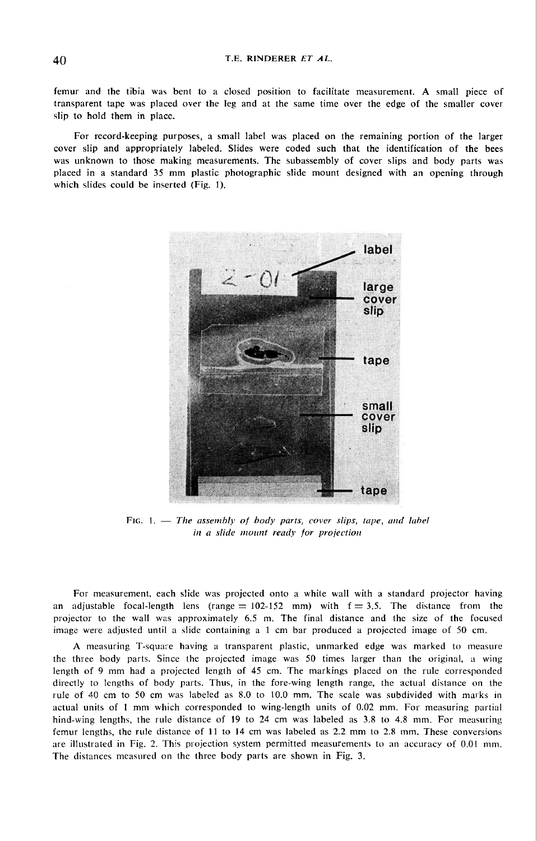femur and the tibia was bent to a closed position to facilitate measurement. A small piece of transparent tape was placed over the leg and at the same time over the edge of the smaller cover slip to hold them in place.

For record-keeping purposes, a small label was placed on the remaining portion of the larger cover slip and appropriately labeled. Slides were coded such that the identification of the bees was unknown to those making measurements. The subassembly of cover slips and body parts was placed in a standard 35 mm plastic photographic slide mount designed with an opening through which slides could be inserted (Fig. 1).



FIG. 1. - The assembly of body parts, cover slips, tape, and label in a slide mount ready for projection

For measurement, each slide was projected onto a white wall with a standard projector having an adjustable focal-length lens (range  $= 102-152$  mm) with  $f = 3.5$ . The distance from the projector to the wall was approximately 6.5 m. The final distance and the size of the focused image were adjusted until a slide containing a 1 cm bar produced a projected image of 50 cm.

A measuring T-squa:e having a transparent plastic, unmarked edge was marked to measure the three body parts. Since the projected image was 50 times larger than the original, a wing length of 9 mm had a projected length of 45 cm. The markings placed on the rule corresponded directly to lengths of body parts. Thus, in the fore-wing length range, the actual distance on the rule of 40 cm to 50 cm was labeled as 8.0 to 10.0 mm. The scale was subdivided with marks in actual units of 1 mm which corresponded to wing-length units of 0.02 mm. For measuring partial hind-wing lengths, the rule distance of 19 to 24 cm was labeled as 3.8 to 4.8 mm. For measuring femur lengths, the rule distance of 11 to 14 cm was labeled as 2.2 mm to 2.8 mm. These conversions are illustrated in Fig. 2. This projection system permitted measurements to an accuracy of 0.01 mm. The distances measured on the three body parts are shown in Fig. 3.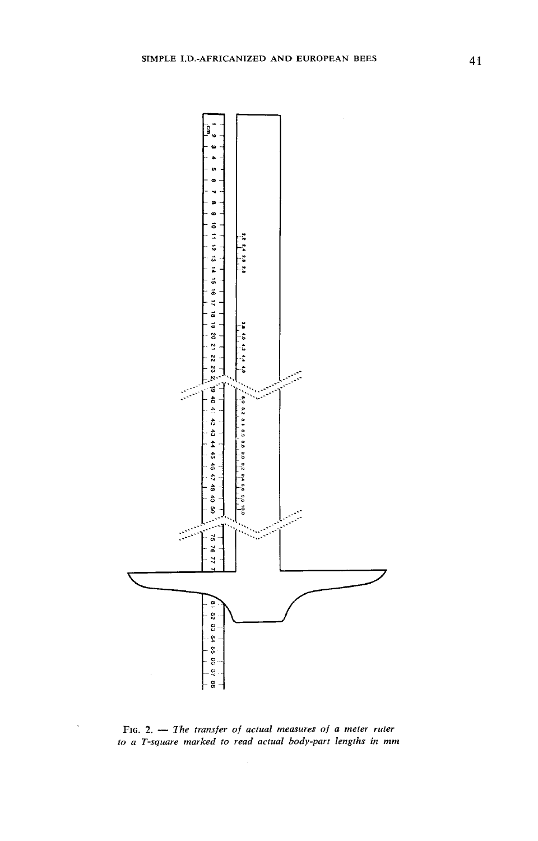

FIG. 2.  $-$  The transfer of actual measures of a meter ruler to a T-square marked to read actual body-part lengths in mm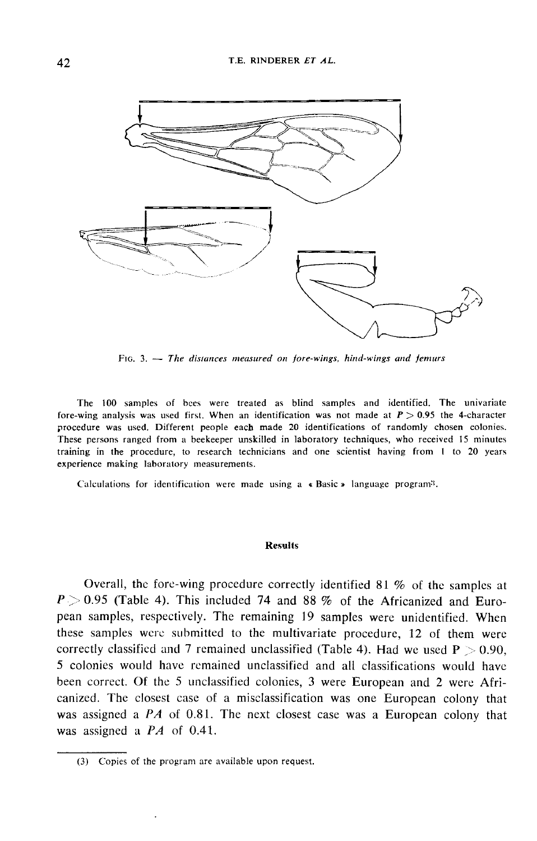

FIG. 3.  $-$  The distances measured on fore-wings, hind-wings and femurs

The 100 samples of bees were treated as blind samples and identified. The univariate fore-wing analysis was used first. When an identification was not made at  $P > 0.95$  the 4-character procedure was used. Different people each made 20 identifications of randomly chosen colonies. These persons ranged from a beekeeper unskilled in laboratory techniques, who received 15 minutes training in the procedure, to research technicians and one scientist having from I to 20 years experience making laboratory measurements.

Calculations for identification were made using a  $\ast$  Basic  $\ast$  language program<sup>3</sup>.

#### Results

Overall, the fore-wing procedure correctly identified 81 % of the samples at  $P > 0.95$  (Table 4). This included 74 and 88 % of the Africanized and European samples, respectively. The remaining 19 samples were unidentified. When these samples were submitted to the multivariate procedure, 12 of them were correctly classified and 7 remained unclassified (Table 4). Had we used  $P > 0.90$ , 5 colonies Would have remained unclassified and all classifications would have been correct. Of the 5 unclassified colonies, 3 were European and 2 were Africanized. The closest case of a misclassification was one European colony that was assigned a  $PA$  of 0.81. The next closest case was a European colony that was assigned a  $PA$  of 0.41.

<sup>(3)</sup> Copies of the program are available upon request.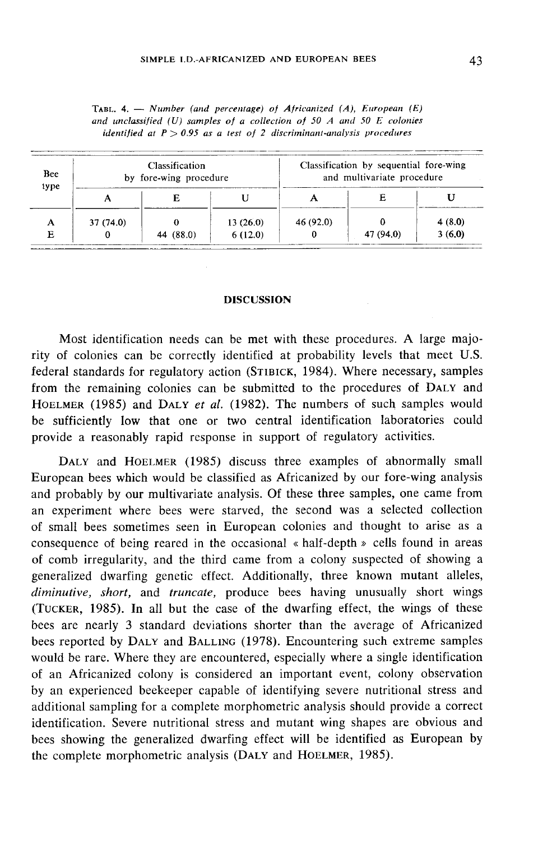| Bee<br>type | Classification<br>by fore-wing procedure |           |          | Classification by sequential fore-wing<br>and multivariate procedure |           |        |  |
|-------------|------------------------------------------|-----------|----------|----------------------------------------------------------------------|-----------|--------|--|
|             |                                          |           |          |                                                                      |           |        |  |
|             | 37(74.0)                                 |           | 13(26.0) | 46 (92.0)                                                            |           | 4(8.0) |  |
|             |                                          | 44 (88.0) | 6(12.0)  |                                                                      | 47 (94.0) | 3(6.0) |  |

TABL. 4. - Number (and percentage) of Africanized (A), European  $(E)$ and unclassified  $(U)$  samples of a collection of 50 A and 50 E colonies identified at  $P > 0.95$  as a test of 2 discriminant-analysis procedures

# DISCUSSION

Most identification needs can be met with these procedures. A large majority of colonies can be correctly identified at probability levels that meet U.S. Most identification needs can be met with these procedures. A large majo-<br>rity of colonies can be correctly identified at probability levels that meet U.S.<br>federal standards for regulatory action (STIBICK, 1984). Where nec HOELMER (1985) and DALY et al. (1982). The numbers of such samples would be sufficiently low that one or two central identification laboratories could provide a reasonably rapid response in support of regulatory activities.

DALY and HOELMER (1985) discuss three examples of abnormally small European bees which would be classified as Africanized by our fore-wing analysis and probably by our multivariate analysis. Of these three samples, one came from an experiment where bees were starved, the second was a selected collection of small bees sometimes seen in European colonies and thought to arise as a consequence of being reared in the occasional  $\ast$  half-depth  $\ast$  cells found in areas of comb irregularity, and the third came from a colony suspected of showing a generalized dwarfing genetic effect. Additionally, three known mutant alleles, diminutive, short, and truncate, produce bees having unusually short wings (TUCKER, 1985). In all but the case of the dwarfing effect, the wings of these bees are nearly 3 standard deviations shorter than the average of Africanized (TUCKER, 1985). In all but the case of the dwarfing effect, the wings of these<br>bees are nearly 3 standard deviations shorter than the average of Africanized<br>bees reported by DALY and BALLING (1978). Encountering such extre would be rare. Where they are encountered, especially where a single identification of an Africanized colony is considered an important event, colony observation by an experienced beekeeper capable of identifying severe nutritional stress and additional sampling for a complete morphometric analysis should provide a correct identification. Severe nutritional stress and mutant wing shapes are obvious and bees showing the generalized dwarfing effect will be identified as European by the complete morphometric analysis (DALY and HOELMER, 1985). by an experienced beekeeper capable of identifying severe nutrition<br>additional sampling for a complete morphometric analysis should pro<br>identification. Severe nutritional stress and mutant wing shapes are<br>bees showing the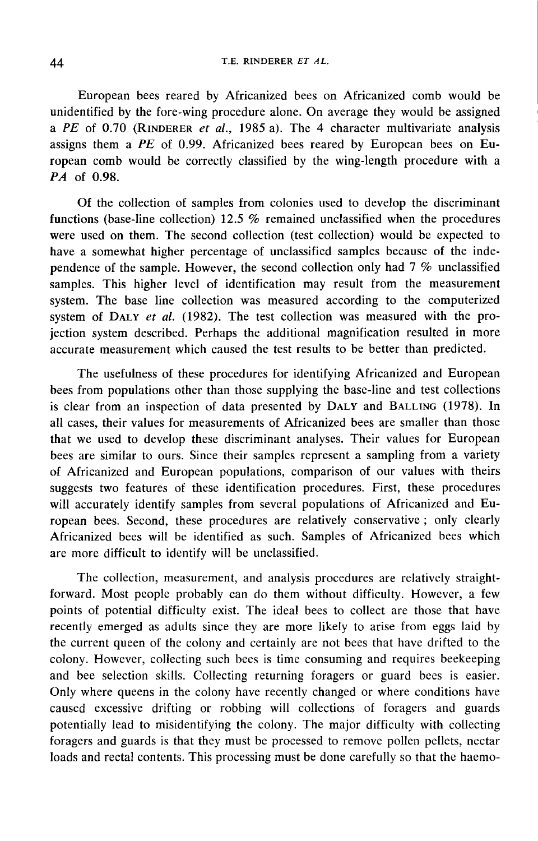# T.E. RINDERER ET AL.

European bees reared by Africanized bees on Africanized comb would be unidentified by the fore-wing procedure alone. On average they would be assigned a PE of 0.70 (RINDERER et al., 1985 a). The 4 character multivariate analysis assigns them a  $PE$  of 0.99. Africanized bees reared by European bees on European comb would be correctly classified by the wing-length procedure with a PA of 0.98.

Of the collection of samples from colonies used to develop the discriminant functions (base-line collection) 12.5 % remained unclassified when the procedures were used on them. The second collection (test collection) would be expected to have a somewhat higher percentage of unclassified samples because of the independence of the sample. However, the second collection only had 7 % unclassified samples. This higher level of identification may result from the measurement system. The base line collection was measured according to the computerized samples. This higher level of identification may result from the measurement<br>system. The base line collection was measured according to the computerized<br>system of DALY *et al.* (1982). The test collection was measured wit jection system described. Perhaps the additional magnification resulted in more accurate measurement which caused the test results to be better than predicted.

The usefulness of these procedures for identifying Africanized and European bees from populations other than those supplying the base-line and test collections is clear from an inspection of data presented by DALY and BALLING (1978). In all cases, their values for measurements of Africanized bees are smaller than those that we used to develop these discriminant analyses. Their values for European bees are similar to ours. Since their samples represent a sampling from a variety of Africanized and European populations, comparison of our values with theirs suggests two features of these identification procedures. First, these procedures will accurately identify samples from several populations of Africanized and European bees. Second, these procedures are relatively conservative ; only clearly Africanized bees will be identified as such. Samples of Africanized bees which are more difficult to identify will be unclassified.

The collection, measurement, and analysis procedures are relatively straightforward. Most people probably can do them without difficulty. However, a few points of potential difficulty exist. The ideal bees to collect are those that have recently emerged as adults since they are more likely to arise from eggs laid by the current queen of the colony and certainly are not bees that have drifted to the colony. However, collecting such bees is time consuming and requires beekeeping and bee selection skills. Collecting returning foragers or guard bees is easier. Only where queens in the colony have recently changed or where conditions have caused excessive drifting or robbing will collections of foragers and guards potentially lead to misidentifying the colony. The major difficulty with collecting foragers and guards is that they must be processed to remove pollen pellets, nectar loads and rectal contents. This processing must be done carefully so that the haemo-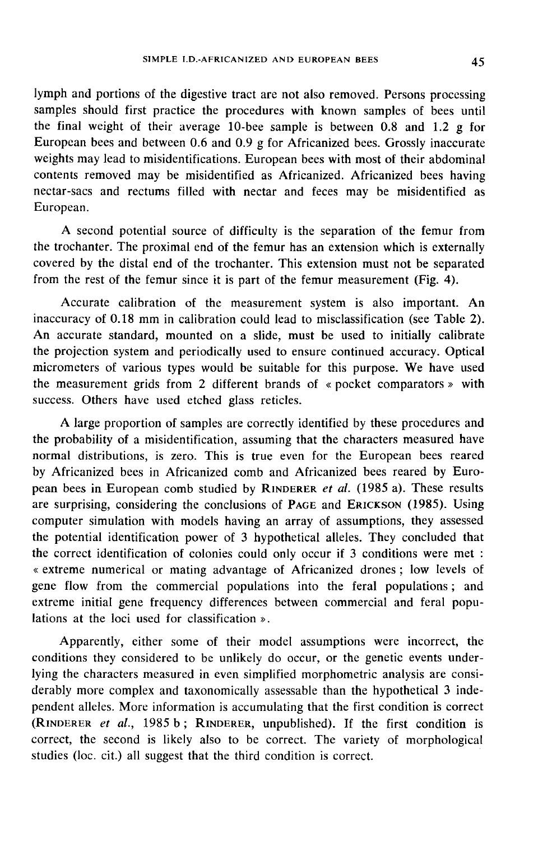lymph and portions of the digestive tract are not also removed. Persons processing samples should first practice the procedures with known samples of bees until the final weight of their average 10-bee sample is between 0.8 and 1.2 g for European bees and between 0.6 and 0.9 g for Africanized bees. Grossly inaccurate weights may lead to misidentifications. European bees with most of their abdominal contents removed may be misidentified as Africanized. Africanized bees having nectar-sacs and rectums filled with nectar and feces may be misidentified as European.

A second potential source of difficulty is the separation of the femur from the trochanter. The proximal end of the femur has an extension which is externally covered by the distal end of the trochanter. This extension must not be separated from the rest of the femur since it is part of the femur measurement (Fig. 4).

Accurate calibration of the measurement system is also important. An inaccuracy of 0.18 mm in calibration could lead to misclassification (see Table 2). An accurate standard, mounted on a slide, must be used to initially calibrate the projection system and periodically used to ensure continued accuracy. Optical micrometers of various types would be suitable for this purpose. We have used the measurement grids from 2 different brands of « pocket comparators » with success. Others have used etched glass reticles.

A large proportion of samples are correctly identified by these procedures and the probability of a misidentification, assuming that the characters measured have normal distributions, is zero. This is true even for the European bees reared by Africanized bees in Africanized comb and Africanized bees reared by Euro-A large proportion of samples are correctly identified by these procedures and<br>the probability of a misidentification, assuming that the characters measured have<br>normal distributions, is zero. This is true even for the Eur the probability of a misidentification, assuming that the characters measured nave<br>normal distributions, is zero. This is true even for the European bees reared<br>by Africanized bees in Africanized comb and Africanized bees computer simulation with models having an array of assumptions, they assessed the potential identification power of 3 hypothetical alleles. They concluded that the correct identification of colonies could only occur if 3 conditions were met : « extreme numerical or mating advantage of Africanized drones ; low levels of gene flow from the commercial populations into the feral populations ; and extreme initial gene frequency differences between commercial and feral populations at the loci used for classification ».

Apparently, either some of their model assumptions were incorrect, the conditions they considered to be unlikely do occur, or the genetic events underlying the characters measured in even simplified morphometric analysis are considerably more complex and taxonomically assessable than the hypothetical 3 independent alleles. More information is accumulating that the first condition is correct (RINDERER  $et$  al., 1985 b; RINDERER, unpublished). If the first condition is conditions they considered to be unlikely do occur, or the genetic events under-<br>lying the characters measured in even simplified morphometric analysis are consi-<br>derably more complex and taxonomically assessable than the correct, the second is likely also to be correct. The variety of morphological studies (loc. cit.) all suggest that the third condition is correct.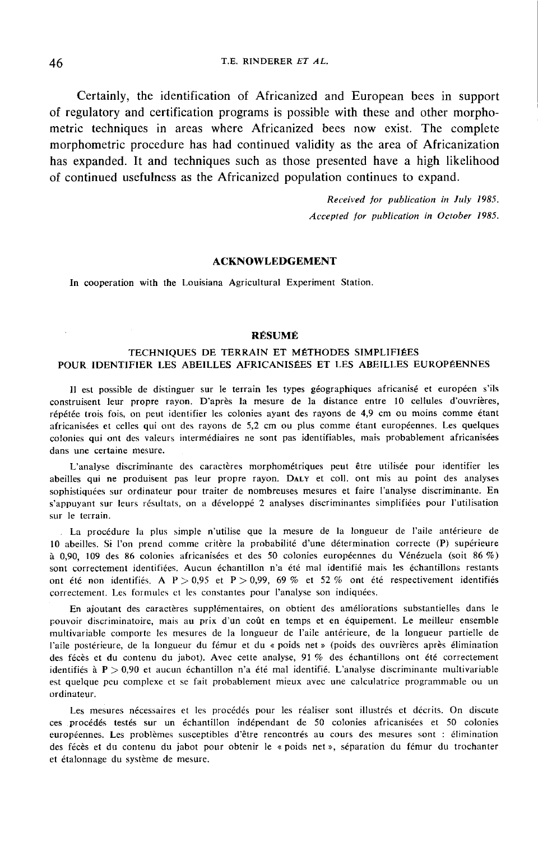Certainly, the identification of Africanized and European bees in support of regulatory and certification programs is possible with these and other morphometric techniques in areas where Africanized bees now exist. The complete morphometric procedure has had continued validity as the area of Africanization has expanded. It and techniques such as those presented have a high likelihood of continued usefulness as the Africanized population continues to expand.

> Received for publication in July 1985. Accepted for publication in October 1985.

#### ACKNOWLEDGEMENT

In cooperation with the Louisiana Agricultural Experiment Station.

# ' RÉSUMÉ

# TECHNIQUES DE TERRAIN ET MÉTHODES SIMPLIFIÉES POUR IDENTIFIER LES ABEILLES AFRICANISÉES ET LES ABEILLES EUROPÉENNES

Il est possible de distinguer sur le terrain les types géographiques africanisé et européen s'ils construisent leur propre rayon. D'après la mesure de la distance entre 10 cellules d'ouvrières, répétée trois fois, on peut identifier les colonies ayant des rayons de 4,9 cm ou moins comme étant africanisées et celles qui ont des rayons de 5,2 cm ou plus comme étant européennes. Les quelques colonies qui ont des valeurs intermédiaires ne sont pas identifiables, mais probablement africanisées dans une certaine mesure.

L'analyse discriminante des caractères morphométriques peut être utilisée pour identifier les abeilles qui ne produisent pas leur propre rayon. DALY et coll. ont mis au point des analyses sophistiquées sur ordinateur pour traiter de nombreuses mesures et faire l'analyse discriminante. En s'appuyant sur leurs résultats, on a développé 2 analyses discriminantes simplifiées pour l'utilisation sur le terrain.

La procédure la plus simple n'utilise que la mesure de la longueur de l'aile antérieure de 10 abeilles. Si l'on prend comme critère la probabilité d'une détermination correcte (P) supérieure à 0.90, 109 des 86 colonies africanisées et des 50 colonies européennes du Vénézuela (soit 86 %) sont correctement identifiées. Aucun échantillon n'a été mal identifié mais les échantillons restants ont été non identifiés. A P > 0,95 et P > 0,99, 69 % et 52 % ont été respectivement identifiés correctement. Les formules et les constantes pour l'analyse son indiquées.

En ajoutant des caractères supplémentaires, on obtient des améliorations substantielles dans le pouvoir discriminatoire, mais au prix d'un coût en temps et en équipement. Le meilleur ensemble multivariable comporte les mesures de la longueur de l'aile antérieure, de la longueur partielle de l'aile postérieure, de la longueur du fémur et du « poids net » (poids des ouvrières après élimination des fécès et du contenu du jabot). Avec cette analyse, 91 % des échantillons ont été correctement identifiés à P > 0,90 et aucun échantillon n'a été mal identifié. L'analyse discriminante multivariable est quelque peu complexe et se fait probablement mieux avec une calculatrice programmable ou un ordinateur.

Les mesures nécessaires et les procédés pour les réaliser sont illustrés et décrits. On discute ces procédés testés sur un échantillon indépendant de 50 colonies africanisées et 50 colonies européennes. Les problèmes susceptibles d'être rencontrés au cours des mesures sont : élimination des fécès et du contenu du jabot pour obtenir le « poids net », séparation du fémur du trochanter et étalonnage du système de mesure.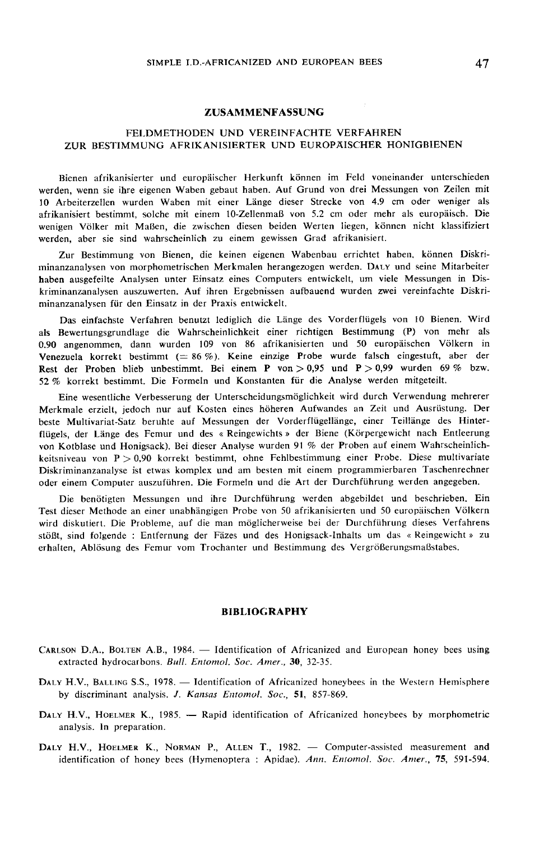#### ZUSAMMENFASSUNG

# FELDMETHODEN UND VEREINFACHTE VERFAHREN ZUR BESTIMMUNG AFRIKANIS1ERTER UND EUROPÄISCHER HONIGBIENEN

Bienen afrikanisierter und europäischer Herkunft können im Feld voneinander unterschieden werden, wenn sie ihre eigenen Waben gebaut haben. Auf Grund von drei Messungen von Zeilen mit 10 Arbeiterzellen wurden Waben mit einer Länge dieser Strecke von 4.9 cm oder weniger als afrikanisiert bestimmt, solche mit einem 10-Zellenmaß von 5.2 cm oder mehr als europäisch. Die wenigen Völker mit Maßen, die zwischen diesen beiden Werten liegen, können nicht klassifiziert werden, aber sie sind wahrscheinlich zu einem gewissen Grad afrikanisiert.

Zur Bestimmung von Bienen, die keinen eigenen Wabenbau errichtet haben, können Diskri-Einen gewissen von antwicklung von Bienen, die keinen eigenen Wabenbau errichtet haben, können Diskri-<br>Einenzanalysen von morphometrischen Merkmalen herangezogen werden. DALY und seine Mitarbeiter haben ausgefeilte Analysen unter Einsatz eines Computers entwickelt, um viele Messungen in Diskriminanzanalysen auszuwerten. Auf ihren Ergebnissen aufbauend wurden zwei vereinfachte Diskriminanzanalysen für den Einsatz in der Praxis entwickelt.

Das einfachste Verfahren benutzt lediglich die Länge des Vorderflügels von 10 Bienen. Wird als Bewertungsgrundlage die Wahrscheinlichkeit einer richtigen Bestimmung (P) von mehr als 0.90 angenommen, dann wurden 109 von 86 afrikanisierten und 50 europäischen Völkern in Venezuela korrekt bestimmt  $(= 86 \%)$ . Keine einzige Probe wurde falsch eingestuft, aber der Rest der Proben blieb unbestimmt. Bei einem P von > 0,95 und P > 0,99 wurden 69 % bzw. 52 % korrekt bestimmt. Die Formeln und Konstanten für die Analyse werden mitgeteilt.

Eine wesentliche Verbesserung der Unterscheidungsmöglichkeit wird durch Verwendung mehrerer Merkmale erzielt, jedoch nur auf Kosten eines höheren Aufwandes an Zeit und Ausrüstung. Der beste Multivariat-Satz beruhte auf Messungen der Vorderflügellänge, einer Teillänge des Hinterflügels, der Länge des Femur und des « Reingewichts » der Biene (Körpergewicht nach Entleerung von Kotblase und Honigsack). Bei dieser Analyse wurden 91 % der Proben auf einem Wahrscheinlichkeitsniveau von P > 0,90 korrekt bestimmt, ohne Fehlbestimmung einer Probe. Diese multivariate Diskriminanzanalyse ist etwas komplex und am besten mit einem programmierbaren Taschenrechner oder einem Computer auszuführen. Die Formeln und die Art der Durchführung werden angegeben.

Die benötigten Messungen und ihre Durchführung werden abgebildet und beschrieben. Ein Test dieser Methode an einer unabhängigen Probe von 50 afrikanisierten und 50 europäischen Völkern wird diskutiert. Die Probleme, auf die man möglicherweise bei der Durchführung dieses Verfahrens stößt, sind folgende : Entfernung der Fäzes und des Honigsack-Inhalts um das « Reingewicht » zu erhalten, Ablösung des Femur vom Trochanter und Bestimmung des Vergrößerungsmaßstabes.

#### BIBLIOGRAPHY

- CARLSON D.A., BOLTEN A.B., 1984. Identification of Africanized and European honey bees using extracted hydrocarbons. Bull. Entomol. Soc. Amer., 30, 32-35.
- extracted hydrocarbons. *Bull. Entomol. Soc. Amer.*, **30**, 32-35.<br>
DALY H.V., BALLING S.S., 1978. Identification of Africanized honeybees in the Western Hemisphere<br>
by discriminant analysis. *J. Kansas Entomol. Soc.*, **5** by discriminant analysis. J. Kansas Entomol. Soc., 51, 857-869.
- analysis. In preparation. DALY H.V., HOELMER K., 1985. — Rapid identification of Africanized honeybees by morphometric analysis. In preparation.<br>DALY H.V., HOELMER K., NORMAN P., ALLEN T., 1982. — Computer-assisted measurement and
- identification of honey bees (Hymenoptera : Apidae). Ann. Entomol. Soc. Amer., 75, 591-594.